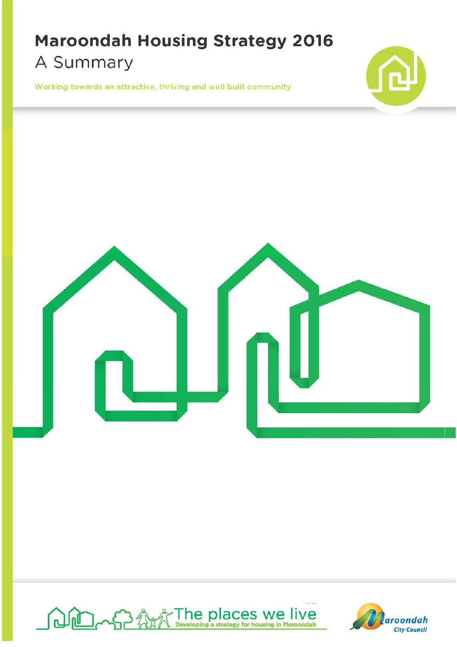## **Maroondah Housing Strategy 2016**  A Summary

Working towards an attractive, thriving and well built community







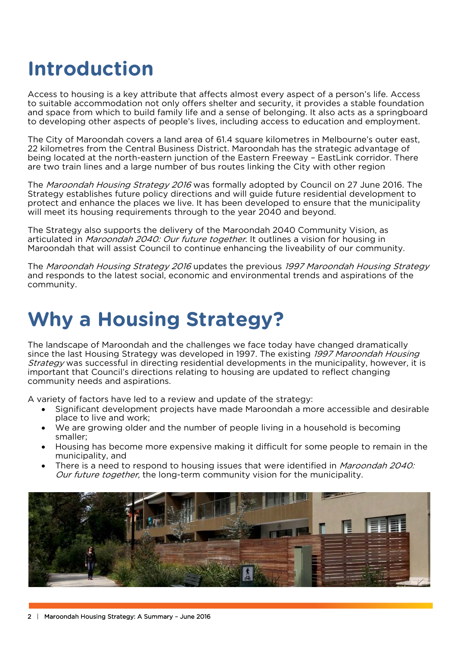## **Introduction**

Access to housing is a key attribute that affects almost every aspect of a person's life. Access to suitable accommodation not only offers shelter and security, it provides a stable foundation and space from which to build family life and a sense of belonging. It also acts as a springboard to developing other aspects of people's lives, including access to education and employment.

The City of Maroondah covers a land area of 61.4 square kilometres in Melbourne's outer east, 22 kilometres from the Central Business District. Maroondah has the strategic advantage of being located at the north-eastern junction of the Eastern Freeway – EastLink corridor. There are two train lines and a large number of bus routes linking the City with other region

The Maroondah Housing Strategy 2016 was formally adopted by Council on 27 June 2016. The Strategy establishes future policy directions and will guide future residential development to protect and enhance the places we live. It has been developed to ensure that the municipality will meet its housing requirements through to the year 2040 and beyond.

The Strategy also supports the delivery of the Maroondah 2040 Community Vision, as articulated in *Maroondah 2040: Our future together*. It outlines a vision for housing in Maroondah that will assist Council to continue enhancing the liveability of our community.

The Maroondah Housing Strategy 2016 updates the previous 1997 Maroondah Housing Strategy and responds to the latest social, economic and environmental trends and aspirations of the community.

## **Why a Housing Strategy?**

 The landscape of Maroondah and the challenges we face today have changed dramatically since the last Housing Strategy was developed in 1997. The existing 1997 Maroondah Housing Strategy was successful in directing residential developments in the municipality, however, it is important that Council's directions relating to housing are updated to reflect changing community needs and aspirations.

A variety of factors have led to a review and update of the strategy:

- Significant development projects have made Maroondah a more accessible and desirable place to live and work;
- We are growing older and the number of people living in a household is becoming smaller;
- Housing has become more expensive making it difficult for some people to remain in the municipality, and
- There is a need to respond to housing issues that were identified in *Maroondah 2040:* Our future together, the long-term community vision for the municipality.

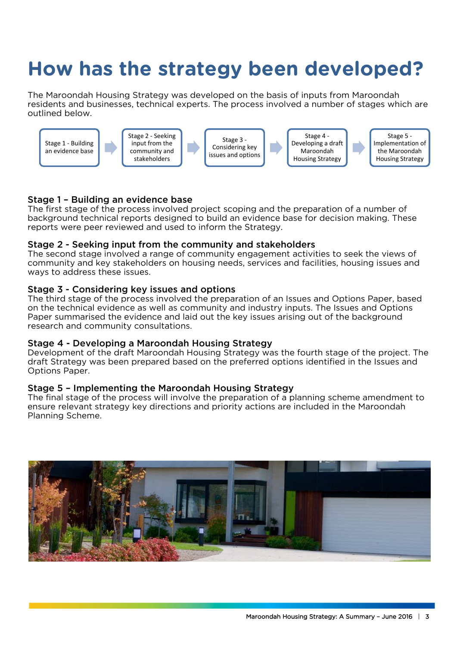# **How has the strategy been developed?**

The Maroondah Housing Strategy was developed on the basis of inputs from Maroondah residents and businesses, technical experts. The process involved a number of stages which are outlined below.



### Stage 1 – Building an evidence base

The first stage of the process involved project scoping and the preparation of a number of background technical reports designed to build an evidence base for decision making. These reports were peer reviewed and used to inform the Strategy.

### Stage 2 - Seeking input from the community and stakeholders

The second stage involved a range of community engagement activities to seek the views of community and key stakeholders on housing needs, services and facilities, housing issues and ways to address these issues.

### Stage 3 - Considering key issues and options

The third stage of the process involved the preparation of an Issues and Options Paper, based on the technical evidence as well as community and industry inputs. The Issues and Options Paper summarised the evidence and laid out the key issues arising out of the background research and community consultations.

### Stage 4 - Developing a Maroondah Housing Strategy

Development of the draft Maroondah Housing Strategy was the fourth stage of the project. The draft Strategy was been prepared based on the preferred options identified in the Issues and Options Paper.

### Stage 5 – Implementing the Maroondah Housing Strategy

The final stage of the process will involve the preparation of a planning scheme amendment to ensure relevant strategy key directions and priority actions are included in the Maroondah Planning Scheme.

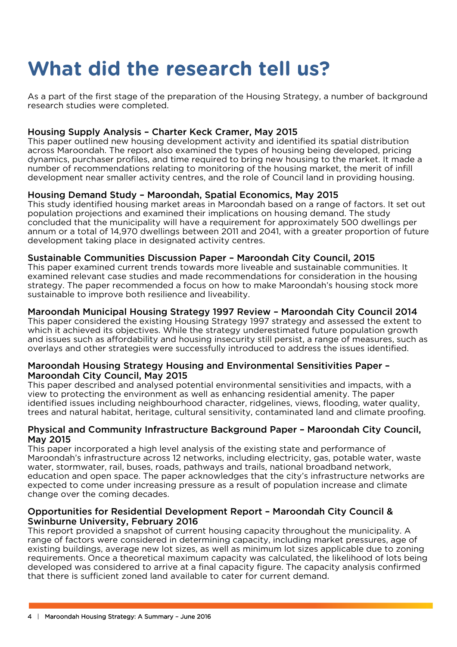# **What did the research tell us?**

As a part of the first stage of the preparation of the Housing Strategy, a number of background research studies were completed.

### Housing Supply Analysis – Charter Keck Cramer, May 2015

This paper outlined new housing development activity and identified its spatial distribution across Maroondah. The report also examined the types of housing being developed, pricing dynamics, purchaser profiles, and time required to bring new housing to the market. It made a number of recommendations relating to monitoring of the housing market, the merit of infill development near smaller activity centres, and the role of Council land in providing housing.

### Housing Demand Study – Maroondah, Spatial Economics, May 2015

This study identified housing market areas in Maroondah based on a range of factors. It set out population projections and examined their implications on housing demand. The study concluded that the municipality will have a requirement for approximately 500 dwellings per annum or a total of 14,970 dwellings between 2011 and 2041, with a greater proportion of future development taking place in designated activity centres.

### Sustainable Communities Discussion Paper – Maroondah City Council, 2015

 sustainable to improve both resilience and liveability. This paper examined current trends towards more liveable and sustainable communities. It examined relevant case studies and made recommendations for consideration in the housing strategy. The paper recommended a focus on how to make Maroondah's housing stock more

### Maroondah Municipal Housing Strategy 1997 Review – Maroondah City Council 2014

This paper considered the existing Housing Strategy 1997 strategy and assessed the extent to which it achieved its objectives. While the strategy underestimated future population growth and issues such as affordability and housing insecurity still persist, a range of measures, such as overlays and other strategies were successfully introduced to address the issues identified.

### Maroondah Housing Strategy Housing and Environmental Sensitivities Paper – Maroondah City Council, May 2015

This paper described and analysed potential environmental sensitivities and impacts, with a view to protecting the environment as well as enhancing residential amenity. The paper identified issues including neighbourhood character, ridgelines, views, flooding, water quality, trees and natural habitat, heritage, cultural sensitivity, contaminated land and climate proofing.

### Physical and Community Infrastructure Background Paper – Maroondah City Council, May 2015

This paper incorporated a high level analysis of the existing state and performance of Maroondah's infrastructure across 12 networks, including electricity, gas, potable water, waste water, stormwater, rail, buses, roads, pathways and trails, national broadband network, education and open space. The paper acknowledges that the city's infrastructure networks are expected to come under increasing pressure as a result of population increase and climate change over the coming decades.

### Opportunities for Residential Development Report – Maroondah City Council & Swinburne University, February 2016

This report provided a snapshot of current housing capacity throughout the municipality. A range of factors were considered in determining capacity, including market pressures, age of existing buildings, average new lot sizes, as well as minimum lot sizes applicable due to zoning requirements. Once a theoretical maximum capacity was calculated, the likelihood of lots being developed was considered to arrive at a final capacity figure. The capacity analysis confirmed that there is sufficient zoned land available to cater for current demand.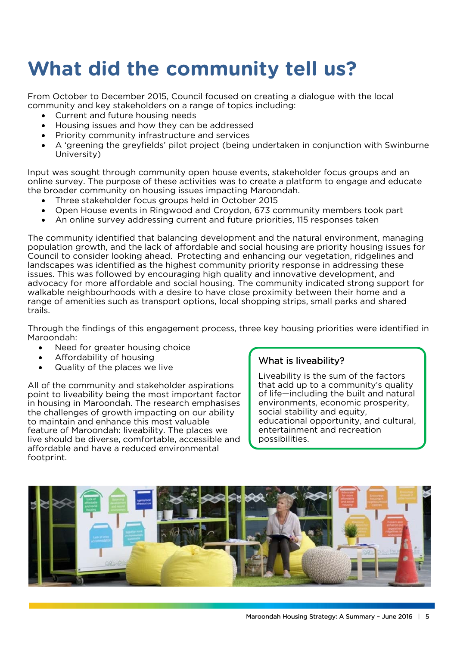# **What did the community tell us?**

 community and key stakeholders on a range of topics including: From October to December 2015, Council focused on creating a dialogue with the local

- Current and future housing needs
- Housing issues and how they can be addressed
- Priority community infrastructure and services
- A 'greening the greyfields' pilot project (being undertaken in conjunction with Swinburne University)

Input was sought through community open house events, stakeholder focus groups and an online survey. The purpose of these activities was to create a platform to engage and educate the broader community on housing issues impacting Maroondah.

- Three stakeholder focus groups held in October 2015
- Open House events in Ringwood and Croydon, 673 community members took part
- An online survey addressing current and future priorities, 115 responses taken

The community identified that balancing development and the natural environment, managing population growth, and the lack of affordable and social housing are priority housing issues for Council to consider looking ahead. Protecting and enhancing our vegetation, ridgelines and landscapes was identified as the highest community priority response in addressing these issues. This was followed by encouraging high quality and innovative development, and advocacy for more affordable and social housing. The community indicated strong support for walkable neighbourhoods with a desire to have close proximity between their home and a range of amenities such as transport options, local shopping strips, small parks and shared trails.

Through the findings of this engagement process, three key housing priorities were identified in Maroondah:

- Need for greater housing choice
- Affordability of housing<br>• Quality of the places we live **What is liveability?**
- 

All of the community and stakeholder aspirations that add up to a community's quality<br>noint to liveability being the most important factor of life—including the built and natural point to liveability being the most important factor of life—including the built and natural in housing in Maroondah. The research emphasises on environments, economic prosperity, in housing in Maroondah. The research emphasises the challenges of growth impacting on our ability  $\parallel$  social stability and equity, to maintain and enhance this most valuable to maintain and enhance this most valuable educational opportunity, and the feature of Maroondah: liveability. The places we feature of Maroondah: liveability. The places we entertainment entertainment and recreation and recreation and recreation and recreation and recreation and recreation and recreation and recreation and recreation and recre live should be diverse, comfortable, accessible and affordable and have a reduced environmental footprint.

Liveability is the sum of the factors<br>that add up to a community's quality

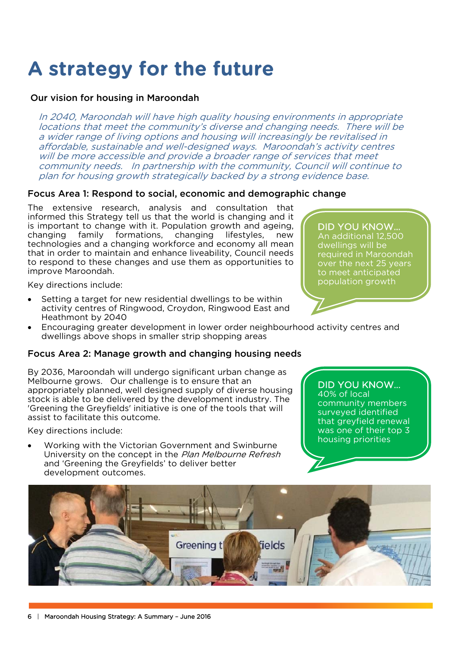## **A strategy for the future**

### Our vision for housing in Maroondah

In 2040, Maroondah will have high quality housing environments in appropriate locations that meet the community's diverse and changing needs. There will be a wider range of living options and housing will increasingly be revitalised in affordable, sustainable and well-designed ways. Maroondah's activity centres will be more accessible and provide a broader range of services that meet community needs. In partnership with the community, Council will continue to plan for housing growth strategically backed by a strong evidence base.

### Focus Area 1: Respond to social, economic and demographic change

The extensive research, analysis and consultation that informed this Strategy tell us that the world is changing and it is important to change with it. Population growth and ageing, changing family formations, changing lifestyles, new technologies and a changing workforce and economy all mean that in order to maintain and enhance liveability, Council needs to respond to these changes and use them as opportunities to improve Maroondah.

Key directions include:

- Setting a target for new residential dwellings to be within activity centres of Ringwood, Croydon, Ringwood East and Heathmont by 2040
- Encouraging greater development in lower order neighbourhood activity centres and dwellings above shops in smaller strip shopping areas

### Focus Area 2: Manage growth and changing housing needs

By 2036, Maroondah will undergo significant urban change as Melbourne grows. Our challenge is to ensure that an appropriately planned, well designed supply of diverse housing stock is able to be delivered by the development industry. The 'Greening the Greyfields' initiative is one of the tools that will assist to facilitate this outcome.

Key directions include:

 Working with the Victorian Government and Swinburne University on the concept in the Plan Melbourne Refresh and 'Greening the Greyfields' to deliver better development outcomes.

DID YOU KNOW…

40% of local community members surveyed identified that greyfield renewal was one of their top 3 housing priorities



DID YOU KNOW… An additional 12,500 dwellings will be required in Maroondah over the next 25 years to meet anticipated population growth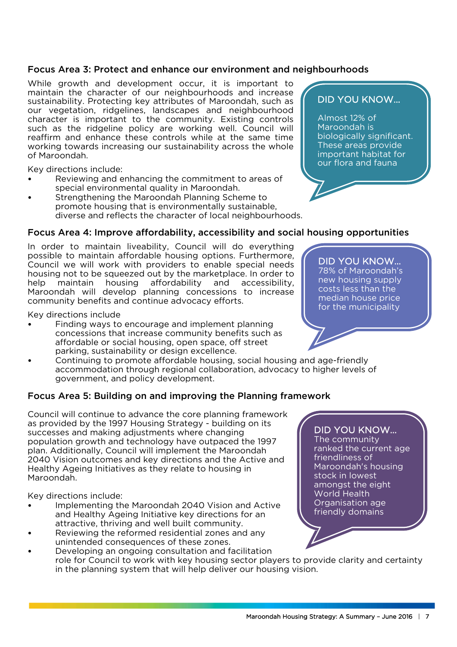### Focus Area 3: Protect and enhance our environment and neighbourhoods

While growth and development occur, it is important to maintain the character of our neighbourhoods and increase sustainability. Protecting key attributes of Maroondah, such as our vegetation, ridgelines, landscapes and neighbourhood character is important to the community. Existing controls such as the ridgeline policy are working well. Council will reaffirm and enhance these controls while at the same time working towards increasing our sustainability across the whole of Maroondah.

Key directions include:

- Reviewing and enhancing the commitment to areas of special environmental quality in Maroondah.
- Strengthening the Maroondah Planning Scheme to promote housing that is environmentally sustainable, diverse and reflects the character of local neighbourhoods.

### Focus Area 4: Improve affordability, accessibility and social housing opportunities

In order to maintain liveability, Council will do everything possible to maintain affordable housing options. Furthermore, Council we will work with providers to enable special needs housing not to be squeezed out by the marketplace. In order to help maintain housing affordability and accessibility, Maroondah will develop planning concessions to increase community benefits and continue advocacy efforts.

Key directions include

- Finding ways to encourage and implement planning concessions that increase community benefits such as affordable or social housing, open space, off street parking, sustainability or design excellence.
- Continuing to promote affordable housing, social housing and age-friendly accommodation through regional collaboration, advocacy to higher levels of government, and policy development.

### Focus Area 5: Building on and improving the Planning framework

Council will continue to advance the core planning framework as provided by the 1997 Housing Strategy - building on its successes and making adjustments where changing population growth and technology have outpaced the 1997 plan. Additionally, Council will implement the Maroondah 2040 Vision outcomes and key directions and the Active and Healthy Ageing Initiatives as they relate to housing in Maroondah.

Key directions include:

- Implementing the Maroondah 2040 Vision and Active and Healthy Ageing Initiative key directions for an attractive, thriving and well built community.
- Reviewing the reformed residential zones and any unintended consequences of these zones.
- Developing an ongoing consultation and facilitation role for Council to work with key housing sector players to provide clarity and certainty in the planning system that will help deliver our housing vision.

### DID YOU KNOW…

Almost 12% of Maroondah is biologically significant. These areas provide important habitat for our flora and fauna

DID YOU KNOW… 78% of Maroondah's new housing supply costs less than the median house price for the municipality

### DID YOU KNOW…

The community ranked the current age friendliness of Maroondah's housing stock in lowest amongst the eight World Health Organisation age friendly domains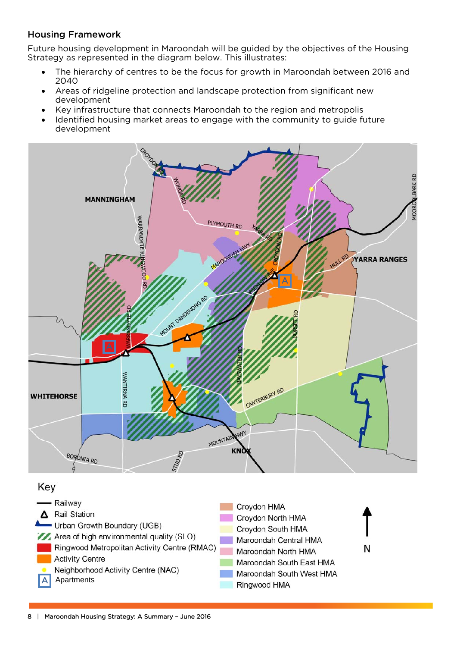### Housing Framework

Future housing development in Maroondah will be guided by the objectives of the Housing Strategy as represented in the diagram below. This illustrates:

- The hierarchy of centres to be the focus for growth in Maroondah between 2016 and 2040
- Areas of ridgeline protection and landscape protection from significant new development
- Key infrastructure that connects Maroondah to the region and metropolis
- Identified housing market areas to engage with the community to guide future development



### Key



N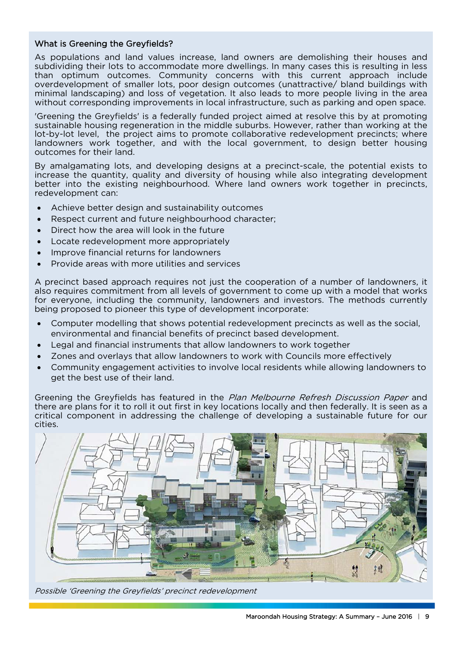### What is Greening the Greyfields?

As populations and land values increase, land owners are demolishing their houses and subdividing their lots to accommodate more dwellings. In many cases this is resulting in less than optimum outcomes. Community concerns with this current approach include overdevelopment of smaller lots, poor design outcomes (unattractive/ bland buildings with minimal landscaping) and loss of vegetation. It also leads to more people living in the area without corresponding improvements in local infrastructure, such as parking and open space.

'Greening the Greyfields' is a federally funded project aimed at resolve this by at promoting sustainable housing regeneration in the middle suburbs. However, rather than working at the lot-by-lot level, the project aims to promote collaborative redevelopment precincts; where landowners work together, and with the local government, to design better housing outcomes for their land.

By amalgamating lots, and developing designs at a precinct-scale, the potential exists to increase the quantity, quality and diversity of housing while also integrating development better into the existing neighbourhood. Where land owners work together in precincts, redevelopment can:

- Achieve better design and sustainability outcomes
- Respect current and future neighbourhood character;
- Direct how the area will look in the future
- Locate redevelopment more appropriately
- Improve financial returns for landowners
- Provide areas with more utilities and services

A precinct based approach requires not just the cooperation of a number of landowners, it also requires commitment from all levels of government to come up with a model that works for everyone, including the community, landowners and investors. The methods currently being proposed to pioneer this type of development incorporate:

- Computer modelling that shows potential redevelopment precincts as well as the social, environmental and financial benefits of precinct based development.
- Legal and financial instruments that allow landowners to work together
- Zones and overlays that allow landowners to work with Councils more effectively
- Community engagement activities to involve local residents while allowing landowners to get the best use of their land.

Greening the Greyfields has featured in the Plan Melbourne Refresh Discussion Paper and there are plans for it to roll it out first in key locations locally and then federally. It is seen as a critical component in addressing the challenge of developing a sustainable future for our cities.



Possible 'Greening the Greyfields' precinct redevelopment